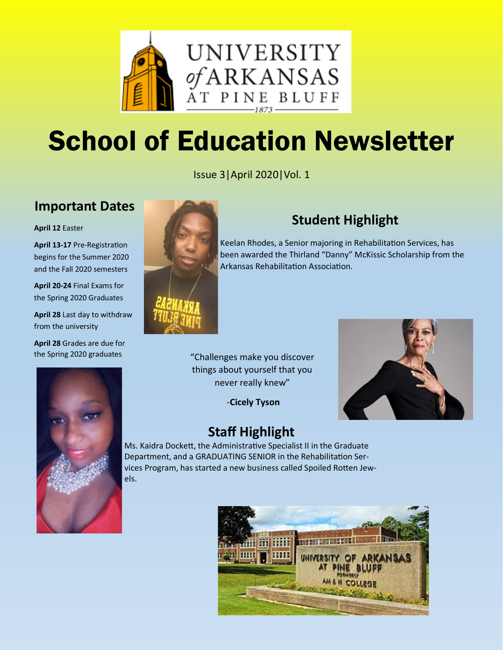

# School of Education Newsletter

Issue 3|April 2020|Vol. 1

## **Important Dates**

**April 12** Easter

**April 13-17** Pre-Registration begins for the Summer 2020 and the Fall 2020 semesters

**April 20-24** Final Exams for the Spring 2020 Graduates

**April 28** Last day to withdraw from the university

**April 28** Grades are due for the Spring 2020 graduates



# **Student Highlight**

Keelan Rhodes, a Senior majoring in Rehabilitation Services, has been awarded the Thirland "Danny" McKissic Scholarship from the Arkansas Rehabilitation Association.

"Challenges make you discover things about yourself that you never really knew"

-**Cicely Tyson**



# **Staff Highlight**

Ms. Kaidra Dockett, the Administrative Specialist II in the Graduate Department, and a GRADUATING SENIOR in the Rehabilitation Services Program, has started a new business called Spoiled Rotten Jewels.



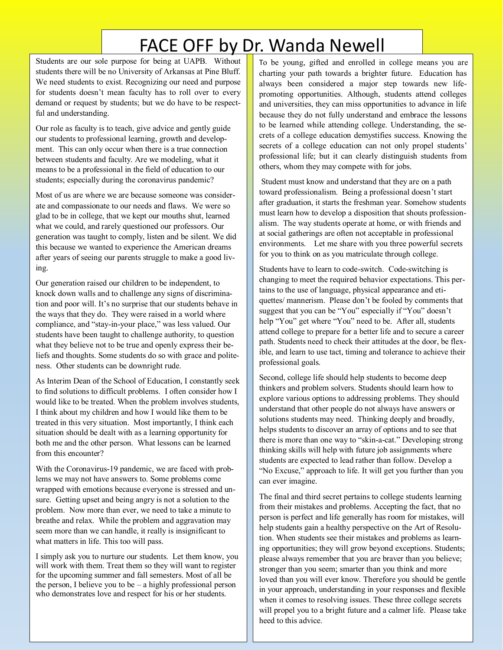# FACE OFF by Dr. Wanda Newell

Students are our sole purpose for being at UAPB. Without students there will be no University of Arkansas at Pine Bluff. We need students to exist. Recognizing our need and purpose for students doesn't mean faculty has to roll over to every demand or request by students; but we do have to be respectful and understanding.

Our role as faculty is to teach, give advice and gently guide our students to professional learning, growth and development. This can only occur when there is a true connection between students and faculty. Are we modeling, what it means to be a professional in the field of education to our students; especially during the coronavirus pandemic?

Most of us are where we are because someone was considerate and compassionate to our needs and flaws. We were so glad to be in college, that we kept our mouths shut, learned what we could, and rarely questioned our professors. Our generation was taught to comply, listen and be silent. We did this because we wanted to experience the American dreams after years of seeing our parents struggle to make a good living.

Our generation raised our children to be independent, to knock down walls and to challenge any signs of discrimination and poor will. It's no surprise that our students behave in the ways that they do. They were raised in a world where compliance, and "stay-in-your place," was less valued. Our students have been taught to challenge authority, to question what they believe not to be true and openly express their beliefs and thoughts. Some students do so with grace and politeness. Other students can be downright rude.

As Interim Dean of the School of Education, I constantly seek to find solutions to difficult problems. I often consider how I would like to be treated. When the problem involves students, I think about my children and how I would like them to be treated in this very situation. Most importantly, I think each situation should be dealt with as a learning opportunity for both me and the other person. What lessons can be learned from this encounter?

With the Coronavirus-19 pandemic, we are faced with problems we may not have answers to. Some problems come wrapped with emotions because everyone is stressed and unsure. Getting upset and being angry is not a solution to the problem. Now more than ever, we need to take a minute to breathe and relax. While the problem and aggravation may seem more than we can handle, it really is insignificant to what matters in life. This too will pass.

I simply ask you to nurture our students. Let them know, you will work with them. Treat them so they will want to register for the upcoming summer and fall semesters. Most of all be the person, I believe you to be  $-$  a highly professional person who demonstrates love and respect for his or her students.

To be young, gifted and enrolled in college means you are charting your path towards a brighter future. Education has always been considered a major step towards new lifepromoting opportunities. Although, students attend colleges and universities, they can miss opportunities to advance in life because they do not fully understand and embrace the lessons to be learned while attending college. Understanding, the secrets of a college education demystifies success. Knowing the secrets of a college education can not only propel students' professional life; but it can clearly distinguish students from others, whom they may compete with for jobs.

Student must know and understand that they are on a path toward professionalism. Being a professional doesn't start after graduation, it starts the freshman year. Somehow students must learn how to develop a disposition that shouts professionalism. The way students operate at home, or with friends and at social gatherings are often not acceptable in professional environments. Let me share with you three powerful secrets for you to think on as you matriculate through college.

Students have to learn to code-switch. Code-switching is changing to meet the required behavior expectations. This pertains to the use of language, physical appearance and etiquettes/ mannerism. Please don't be fooled by comments that suggest that you can be "You" especially if "You" doesn't help "You" get where "You" need to be. After all, students attend college to prepare for a better life and to secure a career path. Students need to check their attitudes at the door, be flexible, and learn to use tact, timing and tolerance to achieve their professional goals.

Second, college life should help students to become deep thinkers and problem solvers. Students should learn how to explore various options to addressing problems. They should understand that other people do not always have answers or solutions students may need. Thinking deeply and broadly, helps students to discover an array of options and to see that there is more than one way to "skin-a-cat." Developing strong thinking skills will help with future job assignments where students are expected to lead rather than follow. Develop a "No Excuse," approach to life. It will get you further than you can ever imagine.

The final and third secret pertains to college students learning from their mistakes and problems. Accepting the fact, that no person is perfect and life generally has room for mistakes, will help students gain a healthy perspective on the Art of Resolution. When students see their mistakes and problems as learning opportunities; they will grow beyond exceptions. Students; please always remember that you are braver than you believe; stronger than you seem; smarter than you think and more loved than you will ever know. Therefore you should be gentle in your approach, understanding in your responses and flexible when it comes to resolving issues. These three college secrets will propel you to a bright future and a calmer life. Please take heed to this advice.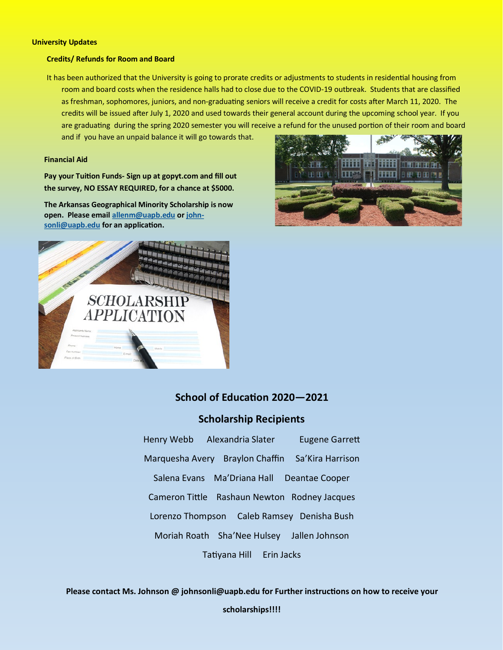#### **University Updates**

#### **Credits/ Refunds for Room and Board**

It has been authorized that the University is going to prorate credits or adjustments to students in residential housing from room and board costs when the residence halls had to close due to the COVID-19 outbreak. Students that are classified as freshman, sophomores, juniors, and non-graduating seniors will receive a credit for costs after March 11, 2020. The credits will be issued after July 1, 2020 and used towards their general account during the upcoming school year. If you are graduating during the spring 2020 semester you will receive a refund for the unused portion of their room and board

and if you have an unpaid balance it will go towards that.

#### **Financial Aid**

**Pay your Tuition Funds- Sign up at gopyt.com and fill out the survey, NO ESSAY REQUIRED, for a chance at \$5000.**

**The Arkansas Geographical Minority Scholarship is now open. Please email [allenm@uapb.edu](mailto:allenm@uapb.edu) or [john](mailto:johnsonli@uapb.edu)[sonli@uapb.edu](mailto:johnsonli@uapb.edu) for an application.**





### **School of Education 2020—2021**

### **Scholarship Recipients**

Henry Webb Alexandria Slater Eugene Garrett Marquesha Avery Braylon Chaffin Sa'Kira Harrison Salena Evans Ma'Driana Hall Deantae Cooper Cameron Tittle Rashaun Newton Rodney Jacques Lorenzo Thompson Caleb Ramsey Denisha Bush Moriah Roath Sha'Nee Hulsey Jallen Johnson Tatiyana Hill Erin Jacks

**Please contact Ms. Johnson @ johnsonli@uapb.edu for Further instructions on how to receive your scholarships!!!!**